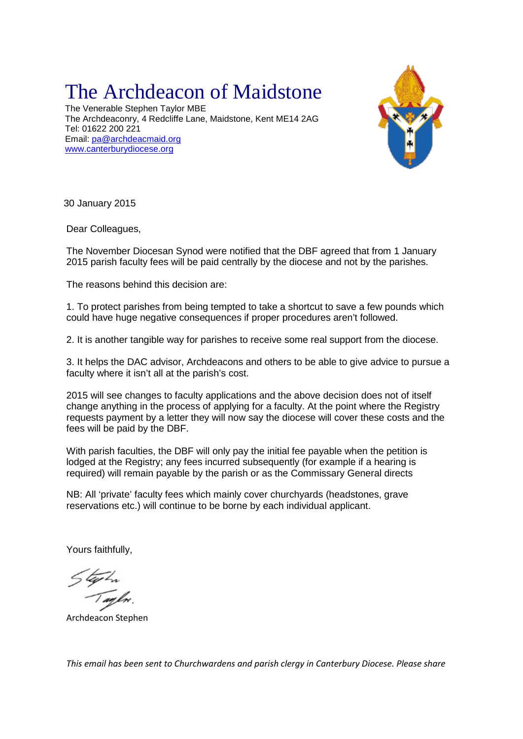## The Archdeacon of Maidstone

The Venerable Stephen Taylor MBE The Archdeaconry, 4 Redcliffe Lane, Maidstone, Kent ME14 2AG Tel: 01622 200 221 Email: [pa@archdeacmaid.org](mailto:pa@archdeacmaid.org) [www.canterburydiocese.org](http://www.canterburydiocese.org/)



30 January 2015

Dear Colleagues,

The November Diocesan Synod were notified that the DBF agreed that from 1 January 2015 parish faculty fees will be paid centrally by the diocese and not by the parishes.

The reasons behind this decision are:

1. To protect parishes from being tempted to take a shortcut to save a few pounds which could have huge negative consequences if proper procedures aren't followed.

2. It is another tangible way for parishes to receive some real support from the diocese.

3. It helps the DAC advisor, Archdeacons and others to be able to give advice to pursue a faculty where it isn't all at the parish's cost.

2015 will see changes to faculty applications and the above decision does not of itself change anything in the process of applying for a faculty. At the point where the Registry requests payment by a letter they will now say the diocese will cover these costs and the fees will be paid by the DBF.

With parish faculties, the DBF will only pay the initial fee payable when the petition is lodged at the Registry; any fees incurred subsequently (for example if a hearing is required) will remain payable by the parish or as the Commissary General directs

NB: All 'private' faculty fees which mainly cover churchyards (headstones, grave reservations etc.) will continue to be borne by each individual applicant.

Yours faithfully,

Archdeacon Stephen

*This email has been sent to Churchwardens and parish clergy in Canterbury Diocese. Please share*